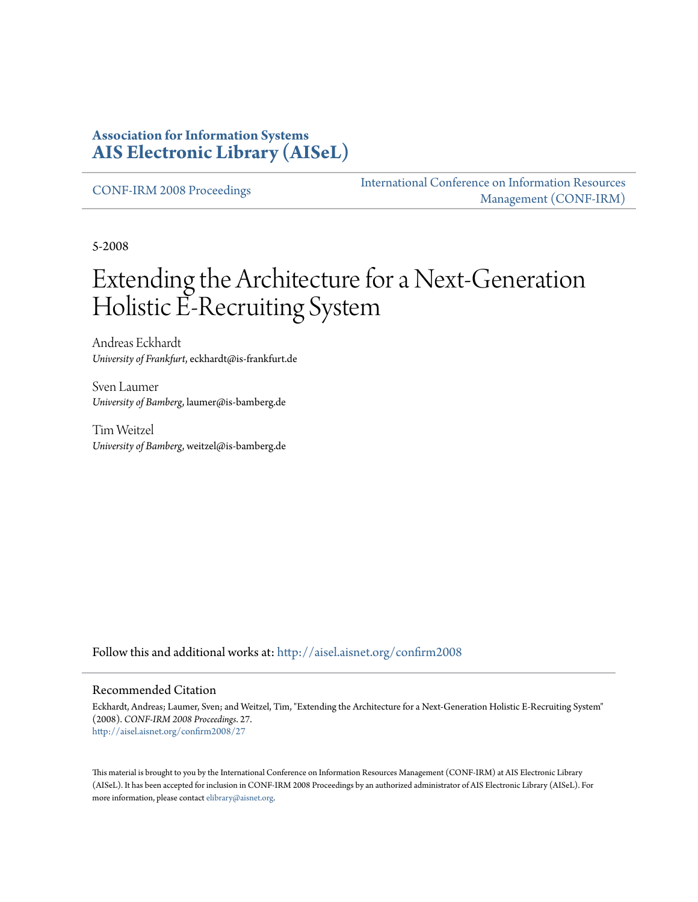#### **Association for Information Systems [AIS Electronic Library \(AISeL\)](http://aisel.aisnet.org?utm_source=aisel.aisnet.org%2Fconfirm2008%2F27&utm_medium=PDF&utm_campaign=PDFCoverPages)**

[CONF-IRM 2008 Proceedings](http://aisel.aisnet.org/confirm2008?utm_source=aisel.aisnet.org%2Fconfirm2008%2F27&utm_medium=PDF&utm_campaign=PDFCoverPages)

[International Conference on Information Resources](http://aisel.aisnet.org/conf-irm?utm_source=aisel.aisnet.org%2Fconfirm2008%2F27&utm_medium=PDF&utm_campaign=PDFCoverPages) [Management \(CONF-IRM\)](http://aisel.aisnet.org/conf-irm?utm_source=aisel.aisnet.org%2Fconfirm2008%2F27&utm_medium=PDF&utm_campaign=PDFCoverPages)

5-2008

# Extending the Architecture for a Next-Generation Holistic E-Recruiting System

Andreas Eckhardt *University of Frankfurt*, eckhardt@is-frankfurt.de

Sven Laumer *University of Bamberg*, laumer@is-bamberg.de

Tim Weitzel *University of Bamberg*, weitzel@is-bamberg.de

Follow this and additional works at: [http://aisel.aisnet.org/confirm2008](http://aisel.aisnet.org/confirm2008?utm_source=aisel.aisnet.org%2Fconfirm2008%2F27&utm_medium=PDF&utm_campaign=PDFCoverPages)

#### Recommended Citation

Eckhardt, Andreas; Laumer, Sven; and Weitzel, Tim, "Extending the Architecture for a Next-Generation Holistic E-Recruiting System" (2008). *CONF-IRM 2008 Proceedings*. 27. [http://aisel.aisnet.org/confirm2008/27](http://aisel.aisnet.org/confirm2008/27?utm_source=aisel.aisnet.org%2Fconfirm2008%2F27&utm_medium=PDF&utm_campaign=PDFCoverPages)

This material is brought to you by the International Conference on Information Resources Management (CONF-IRM) at AIS Electronic Library (AISeL). It has been accepted for inclusion in CONF-IRM 2008 Proceedings by an authorized administrator of AIS Electronic Library (AISeL). For more information, please contact [elibrary@aisnet.org.](mailto:elibrary@aisnet.org%3E)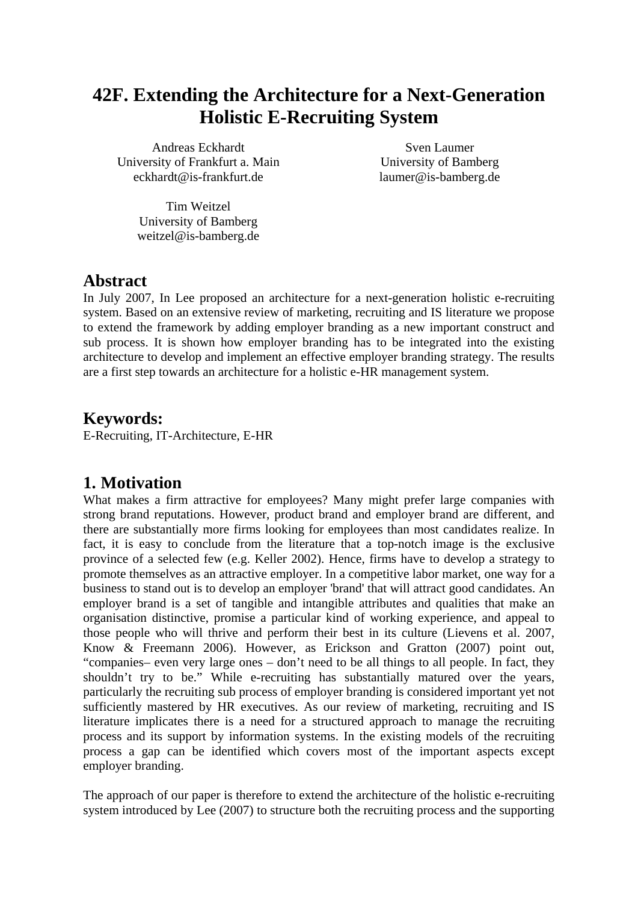## **42F. Extending the Architecture for a Next-Generation Holistic E-Recruiting System**

Andreas Eckhardt University of Frankfurt a. Main eckhardt@is-frankfurt.de

Sven Laumer University of Bamberg laumer@is-bamberg.de

Tim Weitzel University of Bamberg weitzel@is-bamberg.de

#### **Abstract**

In July 2007, In Lee proposed an architecture for a next-generation holistic e-recruiting system. Based on an extensive review of marketing, recruiting and IS literature we propose to extend the framework by adding employer branding as a new important construct and sub process. It is shown how employer branding has to be integrated into the existing architecture to develop and implement an effective employer branding strategy. The results are a first step towards an architecture for a holistic e-HR management system.

#### **Keywords:**

E-Recruiting, IT-Architecture, E-HR

## **1. Motivation**

What makes a firm attractive for employees? Many might prefer large companies with strong brand reputations. However, product brand and employer brand are different, and there are substantially more firms looking for employees than most candidates realize. In fact, it is easy to conclude from the literature that a top-notch image is the exclusive province of a selected few (e.g. Keller 2002). Hence, firms have to develop a strategy to promote themselves as an attractive employer. In a competitive labor market, one way for a business to stand out is to develop an employer 'brand' that will attract good candidates. An employer brand is a set of tangible and intangible attributes and qualities that make an organisation distinctive, promise a particular kind of working experience, and appeal to those people who will thrive and perform their best in its culture (Lievens et al. 2007, Know & Freemann 2006). However, as Erickson and Gratton (2007) point out, "companies– even very large ones – don't need to be all things to all people. In fact, they shouldn't try to be." While e-recruiting has substantially matured over the years, particularly the recruiting sub process of employer branding is considered important yet not sufficiently mastered by HR executives. As our review of marketing, recruiting and IS literature implicates there is a need for a structured approach to manage the recruiting process and its support by information systems. In the existing models of the recruiting process a gap can be identified which covers most of the important aspects except employer branding.

The approach of our paper is therefore to extend the architecture of the holistic e-recruiting system introduced by Lee (2007) to structure both the recruiting process and the supporting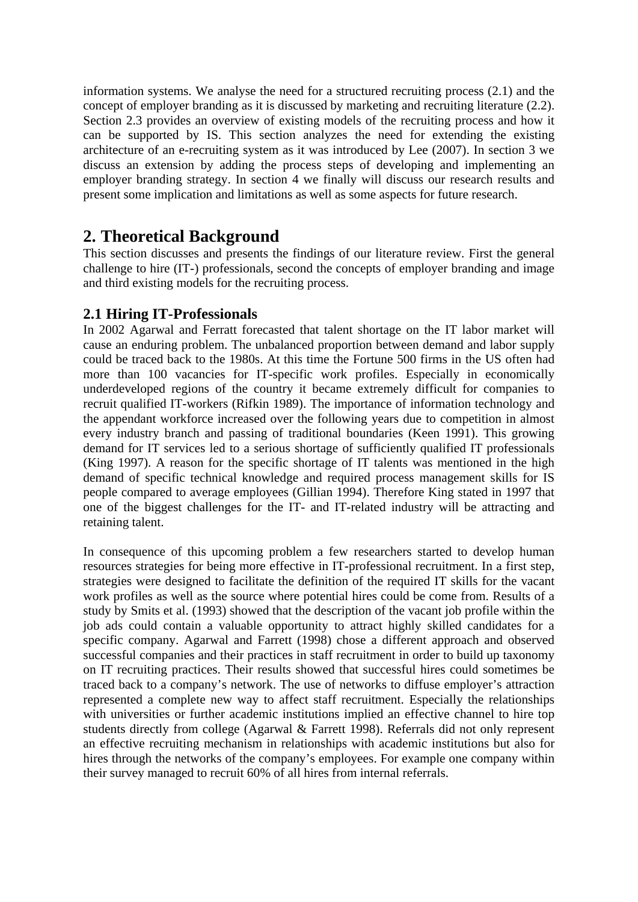information systems. We analyse the need for a structured recruiting process (2.1) and the concept of employer branding as it is discussed by marketing and recruiting literature (2.2). Section 2.3 provides an overview of existing models of the recruiting process and how it can be supported by IS. This section analyzes the need for extending the existing architecture of an e-recruiting system as it was introduced by Lee (2007). In section 3 we discuss an extension by adding the process steps of developing and implementing an employer branding strategy. In section 4 we finally will discuss our research results and present some implication and limitations as well as some aspects for future research.

## **2. Theoretical Background**

This section discusses and presents the findings of our literature review. First the general challenge to hire (IT-) professionals, second the concepts of employer branding and image and third existing models for the recruiting process.

#### **2.1 Hiring IT-Professionals**

In 2002 Agarwal and Ferratt forecasted that talent shortage on the IT labor market will cause an enduring problem. The unbalanced proportion between demand and labor supply could be traced back to the 1980s. At this time the Fortune 500 firms in the US often had more than 100 vacancies for IT-specific work profiles. Especially in economically underdeveloped regions of the country it became extremely difficult for companies to recruit qualified IT-workers (Rifkin 1989). The importance of information technology and the appendant workforce increased over the following years due to competition in almost every industry branch and passing of traditional boundaries (Keen 1991). This growing demand for IT services led to a serious shortage of sufficiently qualified IT professionals (King 1997). A reason for the specific shortage of IT talents was mentioned in the high demand of specific technical knowledge and required process management skills for IS people compared to average employees (Gillian 1994). Therefore King stated in 1997 that one of the biggest challenges for the IT- and IT-related industry will be attracting and retaining talent.

In consequence of this upcoming problem a few researchers started to develop human resources strategies for being more effective in IT-professional recruitment. In a first step, strategies were designed to facilitate the definition of the required IT skills for the vacant work profiles as well as the source where potential hires could be come from. Results of a study by Smits et al. (1993) showed that the description of the vacant job profile within the job ads could contain a valuable opportunity to attract highly skilled candidates for a specific company. Agarwal and Farrett (1998) chose a different approach and observed successful companies and their practices in staff recruitment in order to build up taxonomy on IT recruiting practices. Their results showed that successful hires could sometimes be traced back to a company's network. The use of networks to diffuse employer's attraction represented a complete new way to affect staff recruitment. Especially the relationships with universities or further academic institutions implied an effective channel to hire top students directly from college (Agarwal & Farrett 1998). Referrals did not only represent an effective recruiting mechanism in relationships with academic institutions but also for hires through the networks of the company's employees. For example one company within their survey managed to recruit 60% of all hires from internal referrals.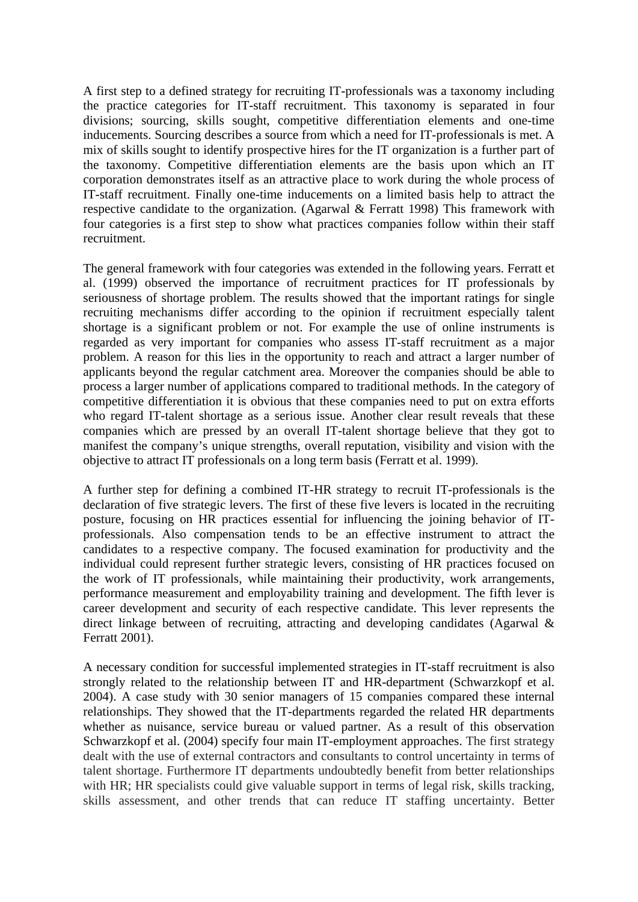A first step to a defined strategy for recruiting IT-professionals was a taxonomy including the practice categories for IT-staff recruitment. This taxonomy is separated in four divisions; sourcing, skills sought, competitive differentiation elements and one-time inducements. Sourcing describes a source from which a need for IT-professionals is met. A mix of skills sought to identify prospective hires for the IT organization is a further part of the taxonomy. Competitive differentiation elements are the basis upon which an IT corporation demonstrates itself as an attractive place to work during the whole process of IT-staff recruitment. Finally one-time inducements on a limited basis help to attract the respective candidate to the organization. (Agarwal & Ferratt 1998) This framework with four categories is a first step to show what practices companies follow within their staff recruitment.

The general framework with four categories was extended in the following years. Ferratt et al. (1999) observed the importance of recruitment practices for IT professionals by seriousness of shortage problem. The results showed that the important ratings for single recruiting mechanisms differ according to the opinion if recruitment especially talent shortage is a significant problem or not. For example the use of online instruments is regarded as very important for companies who assess IT-staff recruitment as a major problem. A reason for this lies in the opportunity to reach and attract a larger number of applicants beyond the regular catchment area. Moreover the companies should be able to process a larger number of applications compared to traditional methods. In the category of competitive differentiation it is obvious that these companies need to put on extra efforts who regard IT-talent shortage as a serious issue. Another clear result reveals that these companies which are pressed by an overall IT-talent shortage believe that they got to manifest the company's unique strengths, overall reputation, visibility and vision with the objective to attract IT professionals on a long term basis (Ferratt et al. 1999).

A further step for defining a combined IT-HR strategy to recruit IT-professionals is the declaration of five strategic levers. The first of these five levers is located in the recruiting posture, focusing on HR practices essential for influencing the joining behavior of ITprofessionals. Also compensation tends to be an effective instrument to attract the candidates to a respective company. The focused examination for productivity and the individual could represent further strategic levers, consisting of HR practices focused on the work of IT professionals, while maintaining their productivity, work arrangements, performance measurement and employability training and development. The fifth lever is career development and security of each respective candidate. This lever represents the direct linkage between of recruiting, attracting and developing candidates (Agarwal & Ferratt 2001).

A necessary condition for successful implemented strategies in IT-staff recruitment is also strongly related to the relationship between IT and HR-department (Schwarzkopf et al. 2004). A case study with 30 senior managers of 15 companies compared these internal relationships. They showed that the IT-departments regarded the related HR departments whether as nuisance, service bureau or valued partner. As a result of this observation Schwarzkopf et al. (2004) specify four main IT-employment approaches. The first strategy dealt with the use of external contractors and consultants to control uncertainty in terms of talent shortage. Furthermore IT departments undoubtedly benefit from better relationships with HR; HR specialists could give valuable support in terms of legal risk, skills tracking, skills assessment, and other trends that can reduce IT staffing uncertainty. Better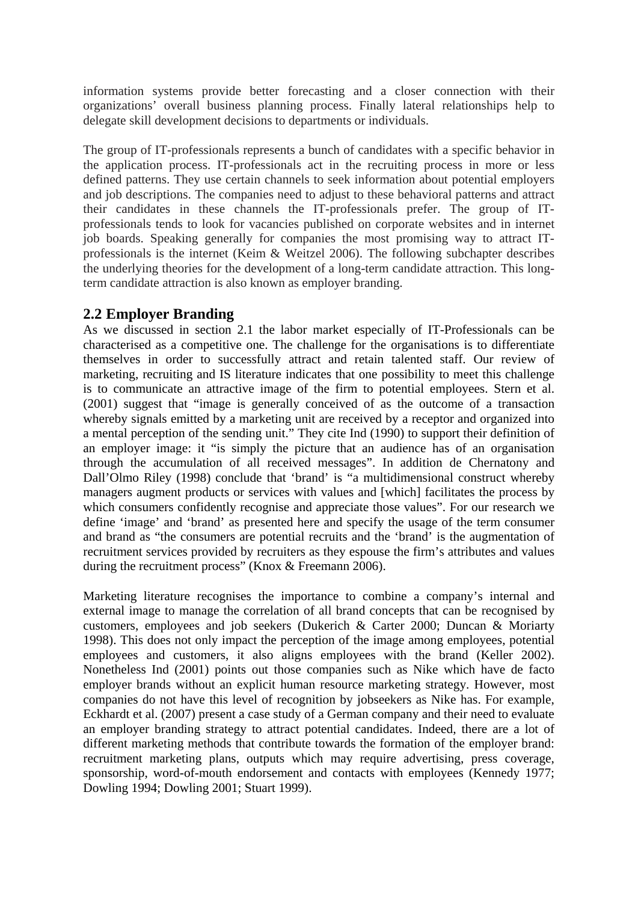information systems provide better forecasting and a closer connection with their organizations' overall business planning process. Finally lateral relationships help to delegate skill development decisions to departments or individuals.

The group of IT-professionals represents a bunch of candidates with a specific behavior in the application process. IT-professionals act in the recruiting process in more or less defined patterns. They use certain channels to seek information about potential employers and job descriptions. The companies need to adjust to these behavioral patterns and attract their candidates in these channels the IT-professionals prefer. The group of ITprofessionals tends to look for vacancies published on corporate websites and in internet job boards. Speaking generally for companies the most promising way to attract ITprofessionals is the internet (Keim & Weitzel 2006). The following subchapter describes the underlying theories for the development of a long-term candidate attraction. This longterm candidate attraction is also known as employer branding.

#### **2.2 Employer Branding**

As we discussed in section 2.1 the labor market especially of IT-Professionals can be characterised as a competitive one. The challenge for the organisations is to differentiate themselves in order to successfully attract and retain talented staff. Our review of marketing, recruiting and IS literature indicates that one possibility to meet this challenge is to communicate an attractive image of the firm to potential employees. Stern et al. (2001) suggest that "image is generally conceived of as the outcome of a transaction whereby signals emitted by a marketing unit are received by a receptor and organized into a mental perception of the sending unit." They cite Ind (1990) to support their definition of an employer image: it "is simply the picture that an audience has of an organisation through the accumulation of all received messages". In addition de Chernatony and Dall'Olmo Riley (1998) conclude that 'brand' is "a multidimensional construct whereby managers augment products or services with values and [which] facilitates the process by which consumers confidently recognise and appreciate those values". For our research we define 'image' and 'brand' as presented here and specify the usage of the term consumer and brand as "the consumers are potential recruits and the 'brand' is the augmentation of recruitment services provided by recruiters as they espouse the firm's attributes and values during the recruitment process" (Knox & Freemann 2006).

Marketing literature recognises the importance to combine a company's internal and external image to manage the correlation of all brand concepts that can be recognised by customers, employees and job seekers (Dukerich & Carter 2000; Duncan & Moriarty 1998). This does not only impact the perception of the image among employees, potential employees and customers, it also aligns employees with the brand (Keller 2002). Nonetheless Ind (2001) points out those companies such as Nike which have de facto employer brands without an explicit human resource marketing strategy. However, most companies do not have this level of recognition by jobseekers as Nike has. For example, Eckhardt et al. (2007) present a case study of a German company and their need to evaluate an employer branding strategy to attract potential candidates. Indeed, there are a lot of different marketing methods that contribute towards the formation of the employer brand: recruitment marketing plans, outputs which may require advertising, press coverage, sponsorship, word-of-mouth endorsement and contacts with employees (Kennedy 1977; Dowling 1994; Dowling 2001; Stuart 1999).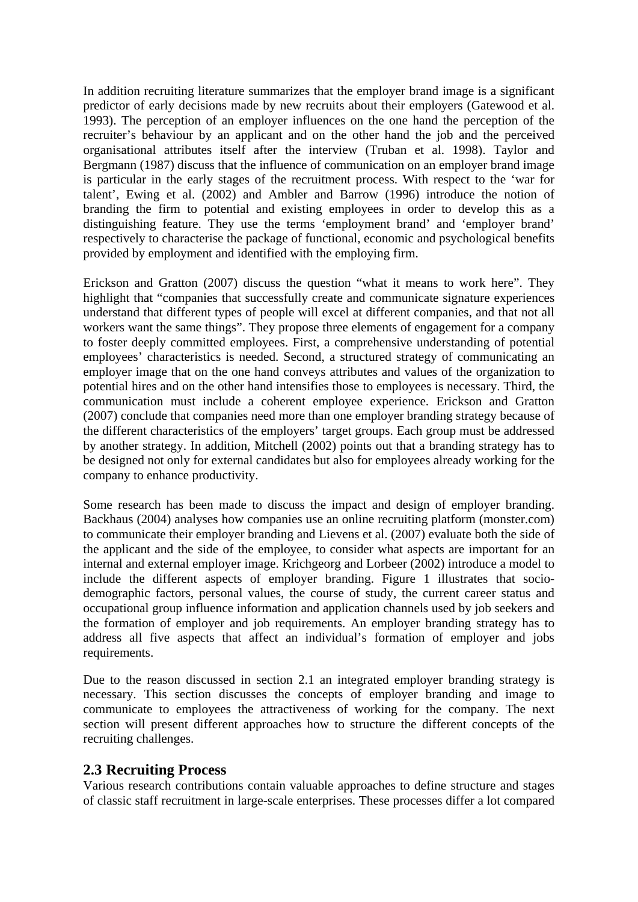In addition recruiting literature summarizes that the employer brand image is a significant predictor of early decisions made by new recruits about their employers (Gatewood et al. 1993). The perception of an employer influences on the one hand the perception of the recruiter's behaviour by an applicant and on the other hand the job and the perceived organisational attributes itself after the interview (Truban et al. 1998). Taylor and Bergmann (1987) discuss that the influence of communication on an employer brand image is particular in the early stages of the recruitment process. With respect to the 'war for talent', Ewing et al. (2002) and Ambler and Barrow (1996) introduce the notion of branding the firm to potential and existing employees in order to develop this as a distinguishing feature. They use the terms 'employment brand' and 'employer brand' respectively to characterise the package of functional, economic and psychological benefits provided by employment and identified with the employing firm.

Erickson and Gratton (2007) discuss the question "what it means to work here". They highlight that "companies that successfully create and communicate signature experiences understand that different types of people will excel at different companies, and that not all workers want the same things". They propose three elements of engagement for a company to foster deeply committed employees. First, a comprehensive understanding of potential employees' characteristics is needed. Second, a structured strategy of communicating an employer image that on the one hand conveys attributes and values of the organization to potential hires and on the other hand intensifies those to employees is necessary. Third, the communication must include a coherent employee experience. Erickson and Gratton (2007) conclude that companies need more than one employer branding strategy because of the different characteristics of the employers' target groups. Each group must be addressed by another strategy. In addition, Mitchell (2002) points out that a branding strategy has to be designed not only for external candidates but also for employees already working for the company to enhance productivity.

Some research has been made to discuss the impact and design of employer branding. Backhaus (2004) analyses how companies use an online recruiting platform (monster.com) to communicate their employer branding and Lievens et al. (2007) evaluate both the side of the applicant and the side of the employee, to consider what aspects are important for an internal and external employer image. Krichgeorg and Lorbeer (2002) introduce a model to include the different aspects of employer branding. Figure 1 illustrates that sociodemographic factors, personal values, the course of study, the current career status and occupational group influence information and application channels used by job seekers and the formation of employer and job requirements. An employer branding strategy has to address all five aspects that affect an individual's formation of employer and jobs requirements.

Due to the reason discussed in section 2.1 an integrated employer branding strategy is necessary. This section discusses the concepts of employer branding and image to communicate to employees the attractiveness of working for the company. The next section will present different approaches how to structure the different concepts of the recruiting challenges.

#### **2.3 Recruiting Process**

Various research contributions contain valuable approaches to define structure and stages of classic staff recruitment in large-scale enterprises. These processes differ a lot compared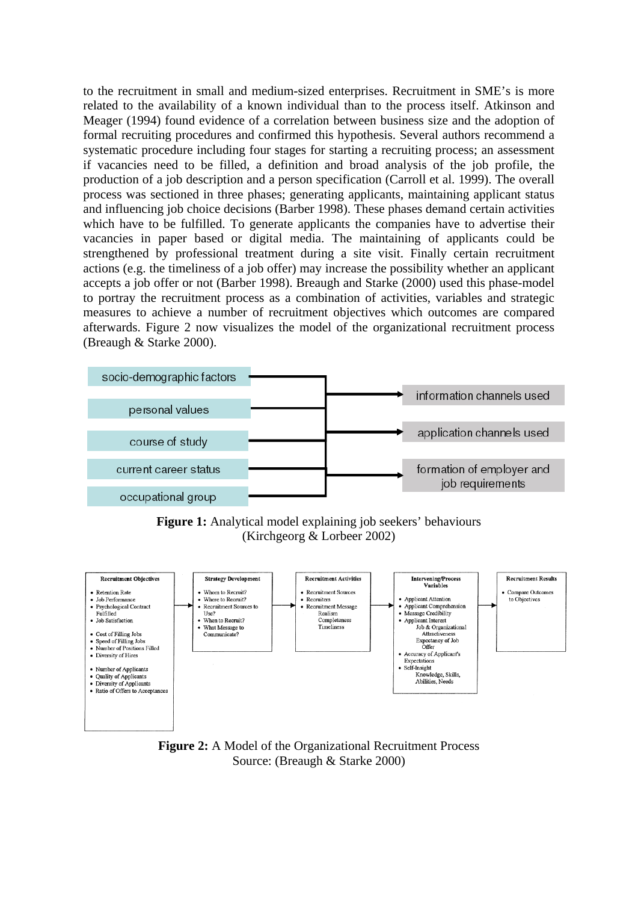to the recruitment in small and medium-sized enterprises. Recruitment in SME's is more related to the availability of a known individual than to the process itself. Atkinson and Meager (1994) found evidence of a correlation between business size and the adoption of formal recruiting procedures and confirmed this hypothesis. Several authors recommend a systematic procedure including four stages for starting a recruiting process; an assessment if vacancies need to be filled, a definition and broad analysis of the job profile, the production of a job description and a person specification (Carroll et al. 1999). The overall process was sectioned in three phases; generating applicants, maintaining applicant status and influencing job choice decisions (Barber 1998). These phases demand certain activities which have to be fulfilled. To generate applicants the companies have to advertise their vacancies in paper based or digital media. The maintaining of applicants could be strengthened by professional treatment during a site visit. Finally certain recruitment actions (e.g. the timeliness of a job offer) may increase the possibility whether an applicant accepts a job offer or not (Barber 1998). Breaugh and Starke (2000) used this phase-model to portray the recruitment process as a combination of activities, variables and strategic measures to achieve a number of recruitment objectives which outcomes are compared afterwards. Figure 2 now visualizes the model of the organizational recruitment process (Breaugh & Starke 2000).



**Figure 1:** Analytical model explaining job seekers' behaviours (Kirchgeorg & Lorbeer 2002)



**Figure 2:** A Model of the Organizational Recruitment Process Source: (Breaugh & Starke 2000)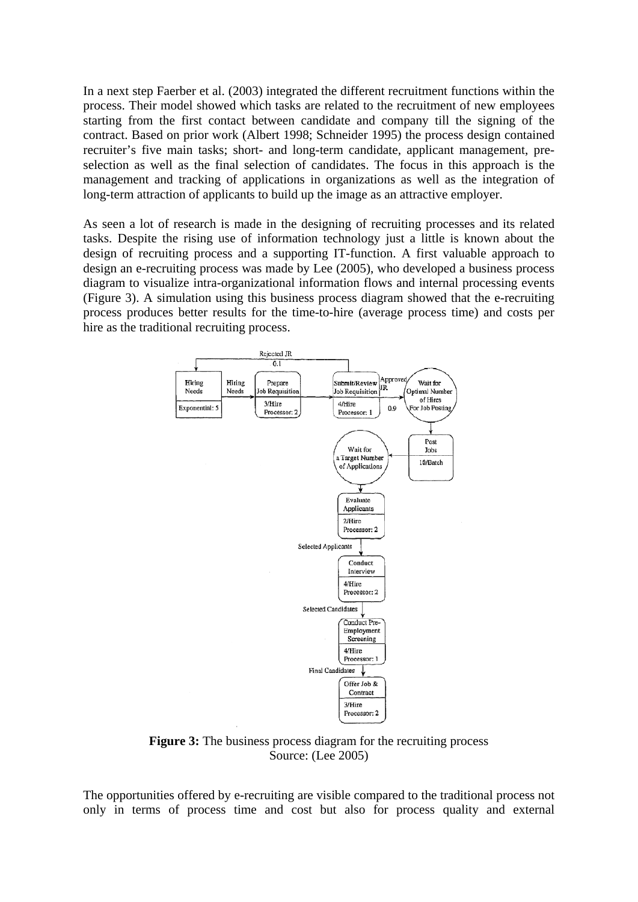In a next step Faerber et al. (2003) integrated the different recruitment functions within the process. Their model showed which tasks are related to the recruitment of new employees starting from the first contact between candidate and company till the signing of the contract. Based on prior work (Albert 1998; Schneider 1995) the process design contained recruiter's five main tasks; short- and long-term candidate, applicant management, preselection as well as the final selection of candidates. The focus in this approach is the management and tracking of applications in organizations as well as the integration of long-term attraction of applicants to build up the image as an attractive employer.

As seen a lot of research is made in the designing of recruiting processes and its related tasks. Despite the rising use of information technology just a little is known about the design of recruiting process and a supporting IT-function. A first valuable approach to design an e-recruiting process was made by Lee (2005), who developed a business process diagram to visualize intra-organizational information flows and internal processing events (Figure 3). A simulation using this business process diagram showed that the e-recruiting process produces better results for the time-to-hire (average process time) and costs per hire as the traditional recruiting process.



**Figure 3:** The business process diagram for the recruiting process Source: (Lee 2005)

The opportunities offered by e-recruiting are visible compared to the traditional process not only in terms of process time and cost but also for process quality and external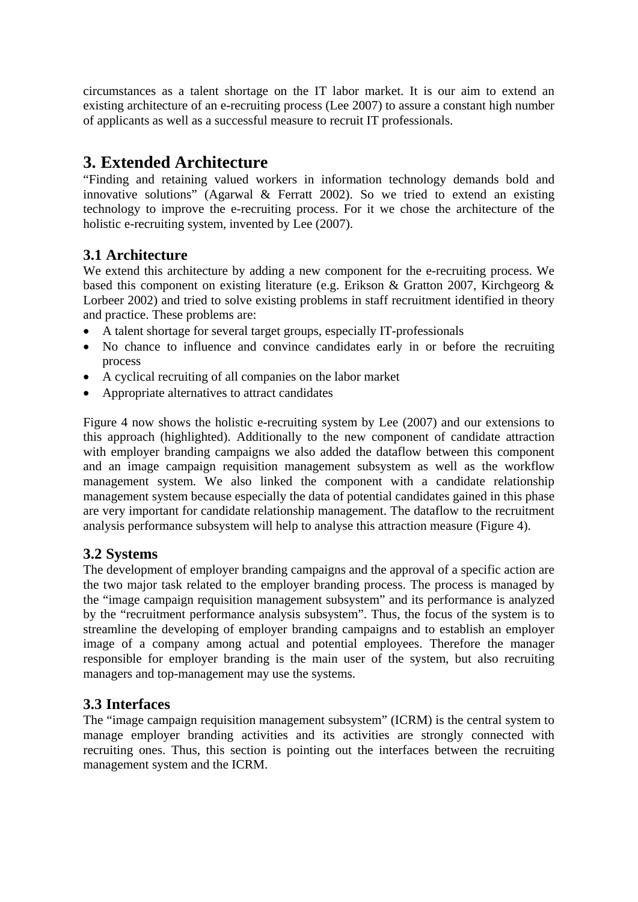circumstances as a talent shortage on the IT labor market. It is our aim to extend an existing architecture of an e-recruiting process (Lee 2007) to assure a constant high number of applicants as well as a successful measure to recruit IT professionals.

## **3. Extended Architecture**

"Finding and retaining valued workers in information technology demands bold and innovative solutions" (Agarwal & Ferratt 2002). So we tried to extend an existing technology to improve the e-recruiting process. For it we chose the architecture of the holistic e-recruiting system, invented by Lee (2007).

#### **3.1 Architecture**

We extend this architecture by adding a new component for the e-recruiting process. We based this component on existing literature (e.g. Erikson & Gratton 2007, Kirchgeorg & Lorbeer 2002) and tried to solve existing problems in staff recruitment identified in theory and practice. These problems are:

- A talent shortage for several target groups, especially IT-professionals
- No chance to influence and convince candidates early in or before the recruiting process
- A cyclical recruiting of all companies on the labor market
- Appropriate alternatives to attract candidates

Figure 4 now shows the holistic e-recruiting system by Lee (2007) and our extensions to this approach (highlighted). Additionally to the new component of candidate attraction with employer branding campaigns we also added the dataflow between this component and an image campaign requisition management subsystem as well as the workflow management system. We also linked the component with a candidate relationship management system because especially the data of potential candidates gained in this phase are very important for candidate relationship management. The dataflow to the recruitment analysis performance subsystem will help to analyse this attraction measure (Figure 4).

#### **3.2 Systems**

The development of employer branding campaigns and the approval of a specific action are the two major task related to the employer branding process. The process is managed by the "image campaign requisition management subsystem" and its performance is analyzed by the "recruitment performance analysis subsystem". Thus, the focus of the system is to streamline the developing of employer branding campaigns and to establish an employer image of a company among actual and potential employees. Therefore the manager responsible for employer branding is the main user of the system, but also recruiting managers and top-management may use the systems.

#### **3.3 Interfaces**

The "image campaign requisition management subsystem" (ICRM) is the central system to manage employer branding activities and its activities are strongly connected with recruiting ones. Thus, this section is pointing out the interfaces between the recruiting management system and the ICRM.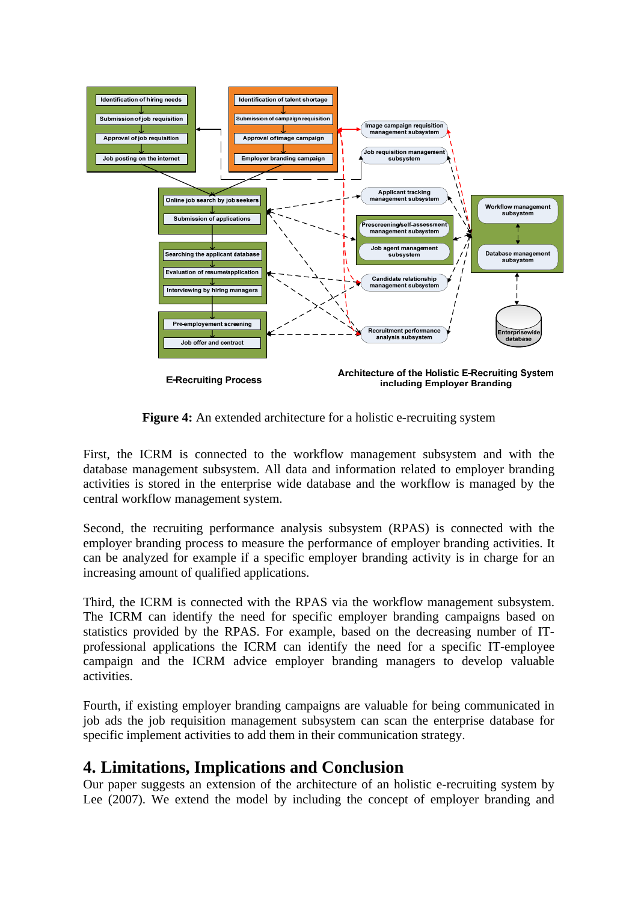

**Figure 4:** An extended architecture for a holistic e-recruiting system

First, the ICRM is connected to the workflow management subsystem and with the database management subsystem. All data and information related to employer branding activities is stored in the enterprise wide database and the workflow is managed by the central workflow management system.

Second, the recruiting performance analysis subsystem (RPAS) is connected with the employer branding process to measure the performance of employer branding activities. It can be analyzed for example if a specific employer branding activity is in charge for an increasing amount of qualified applications.

Third, the ICRM is connected with the RPAS via the workflow management subsystem. The ICRM can identify the need for specific employer branding campaigns based on statistics provided by the RPAS. For example, based on the decreasing number of ITprofessional applications the ICRM can identify the need for a specific IT-employee campaign and the ICRM advice employer branding managers to develop valuable activities.

Fourth, if existing employer branding campaigns are valuable for being communicated in job ads the job requisition management subsystem can scan the enterprise database for specific implement activities to add them in their communication strategy.

### **4. Limitations, Implications and Conclusion**

Our paper suggests an extension of the architecture of an holistic e-recruiting system by Lee (2007). We extend the model by including the concept of employer branding and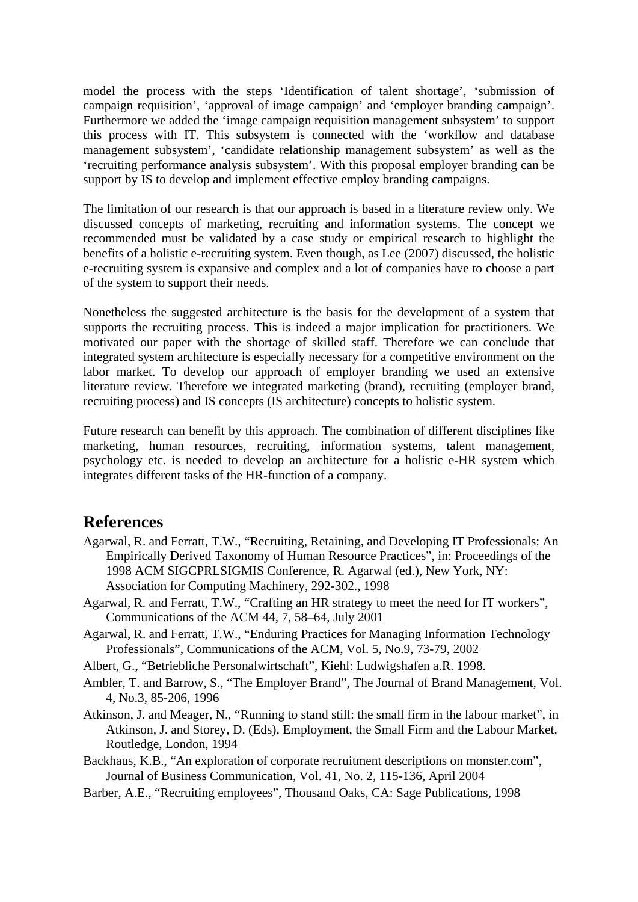model the process with the steps 'Identification of talent shortage', 'submission of campaign requisition', 'approval of image campaign' and 'employer branding campaign'. Furthermore we added the 'image campaign requisition management subsystem' to support this process with IT. This subsystem is connected with the 'workflow and database management subsystem', 'candidate relationship management subsystem' as well as the 'recruiting performance analysis subsystem'. With this proposal employer branding can be support by IS to develop and implement effective employ branding campaigns.

The limitation of our research is that our approach is based in a literature review only. We discussed concepts of marketing, recruiting and information systems. The concept we recommended must be validated by a case study or empirical research to highlight the benefits of a holistic e-recruiting system. Even though, as Lee (2007) discussed, the holistic e-recruiting system is expansive and complex and a lot of companies have to choose a part of the system to support their needs.

Nonetheless the suggested architecture is the basis for the development of a system that supports the recruiting process. This is indeed a major implication for practitioners. We motivated our paper with the shortage of skilled staff. Therefore we can conclude that integrated system architecture is especially necessary for a competitive environment on the labor market. To develop our approach of employer branding we used an extensive literature review. Therefore we integrated marketing (brand), recruiting (employer brand, recruiting process) and IS concepts (IS architecture) concepts to holistic system.

Future research can benefit by this approach. The combination of different disciplines like marketing, human resources, recruiting, information systems, talent management, psychology etc. is needed to develop an architecture for a holistic e-HR system which integrates different tasks of the HR-function of a company.

#### **References**

- Agarwal, R. and Ferratt, T.W., "Recruiting, Retaining, and Developing IT Professionals: An Empirically Derived Taxonomy of Human Resource Practices", in: Proceedings of the 1998 ACM SIGCPRLSIGMIS Conference, R. Agarwal (ed.), New York, NY: Association for Computing Machinery, 292-302., 1998
- Agarwal, R. and Ferratt, T.W., "Crafting an HR strategy to meet the need for IT workers", Communications of the ACM 44, 7, 58–64, July 2001
- Agarwal, R. and Ferratt, T.W., "Enduring Practices for Managing Information Technology Professionals", Communications of the ACM, Vol. 5, No.9, 73-79, 2002
- Albert, G., "Betriebliche Personalwirtschaft", Kiehl: Ludwigshafen a.R. 1998.
- Ambler, T. and Barrow, S., "The Employer Brand", The Journal of Brand Management, Vol. 4, No.3, 85-206, 1996
- Atkinson, J. and Meager, N., "Running to stand still: the small firm in the labour market", in Atkinson, J. and Storey, D. (Eds), Employment, the Small Firm and the Labour Market, Routledge, London, 1994
- Backhaus, K.B., "An exploration of corporate recruitment descriptions on monster.com", Journal of Business Communication, Vol. 41, No. 2, 115-136, April 2004
- Barber, A.E., "Recruiting employees", Thousand Oaks, CA: Sage Publications, 1998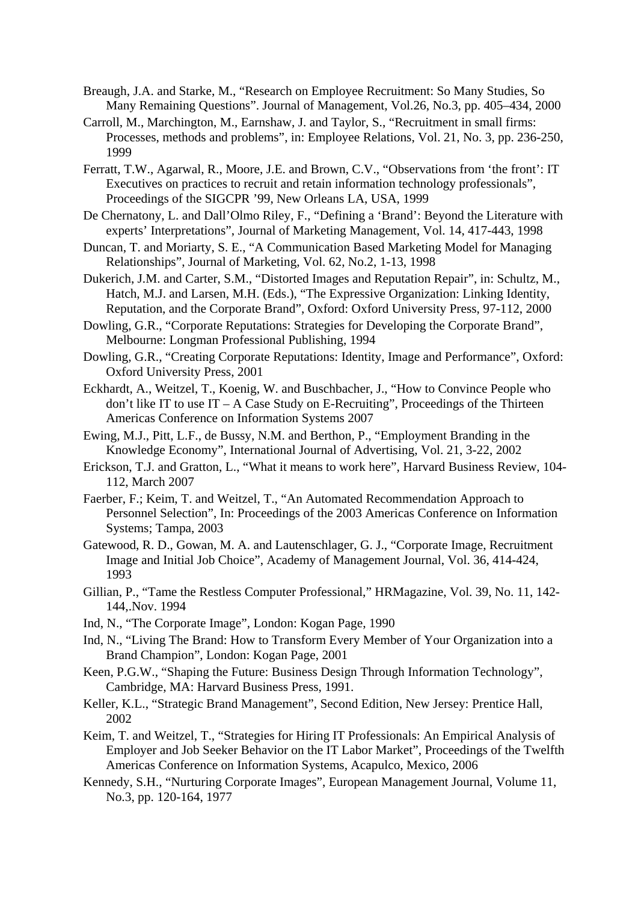- Breaugh, J.A. and Starke, M., "Research on Employee Recruitment: So Many Studies, So Many Remaining Questions". Journal of Management, Vol.26, No.3, pp. 405–434, 2000
- Carroll, M., Marchington, M., Earnshaw, J. and Taylor, S., "Recruitment in small firms: Processes, methods and problems", in: Employee Relations, Vol. 21, No. 3, pp. 236-250, 1999
- Ferratt, T.W., Agarwal, R., Moore, J.E. and Brown, C.V., "Observations from 'the front': IT Executives on practices to recruit and retain information technology professionals", Proceedings of the SIGCPR '99, New Orleans LA, USA, 1999
- De Chernatony, L. and Dall'Olmo Riley, F., "Defining a 'Brand': Beyond the Literature with experts' Interpretations", Journal of Marketing Management, Vol. 14, 417-443, 1998
- Duncan, T. and Moriarty, S. E., "A Communication Based Marketing Model for Managing Relationships", Journal of Marketing, Vol. 62, No.2, 1-13, 1998
- Dukerich, J.M. and Carter, S.M., "Distorted Images and Reputation Repair", in: Schultz, M., Hatch, M.J. and Larsen, M.H. (Eds.), "The Expressive Organization: Linking Identity, Reputation, and the Corporate Brand", Oxford: Oxford University Press, 97-112, 2000
- Dowling, G.R., "Corporate Reputations: Strategies for Developing the Corporate Brand", Melbourne: Longman Professional Publishing, 1994
- Dowling, G.R., "Creating Corporate Reputations: Identity, Image and Performance", Oxford: Oxford University Press, 2001
- Eckhardt, A., Weitzel, T., Koenig, W. and Buschbacher, J., "How to Convince People who don't like IT to use  $IT - A$  Case Study on E-Recruiting", Proceedings of the Thirteen Americas Conference on Information Systems 2007
- Ewing, M.J., Pitt, L.F., de Bussy, N.M. and Berthon, P., "Employment Branding in the Knowledge Economy", International Journal of Advertising, Vol. 21, 3-22, 2002
- Erickson, T.J. and Gratton, L., "What it means to work here", Harvard Business Review, 104- 112, March 2007
- Faerber, F.; Keim, T. and Weitzel, T., "An Automated Recommendation Approach to Personnel Selection", In: Proceedings of the 2003 Americas Conference on Information Systems; Tampa, 2003
- Gatewood, R. D., Gowan, M. A. and Lautenschlager, G. J., "Corporate Image, Recruitment Image and Initial Job Choice", Academy of Management Journal, Vol. 36, 414-424, 1993
- Gillian, P., "Tame the Restless Computer Professional," HRMagazine, Vol. 39, No. 11, 142- 144,.Nov. 1994
- Ind, N., "The Corporate Image", London: Kogan Page, 1990
- Ind, N., "Living The Brand: How to Transform Every Member of Your Organization into a Brand Champion", London: Kogan Page, 2001
- Keen, P.G.W., "Shaping the Future: Business Design Through Information Technology", Cambridge, MA: Harvard Business Press, 1991.
- Keller, K.L., "Strategic Brand Management", Second Edition, New Jersey: Prentice Hall, 2002
- Keim, T. and Weitzel, T., "Strategies for Hiring IT Professionals: An Empirical Analysis of Employer and Job Seeker Behavior on the IT Labor Market", Proceedings of the Twelfth Americas Conference on Information Systems, Acapulco, Mexico, 2006
- Kennedy, S.H., "Nurturing Corporate Images", European Management Journal, Volume 11, No.3, pp. 120-164, 1977